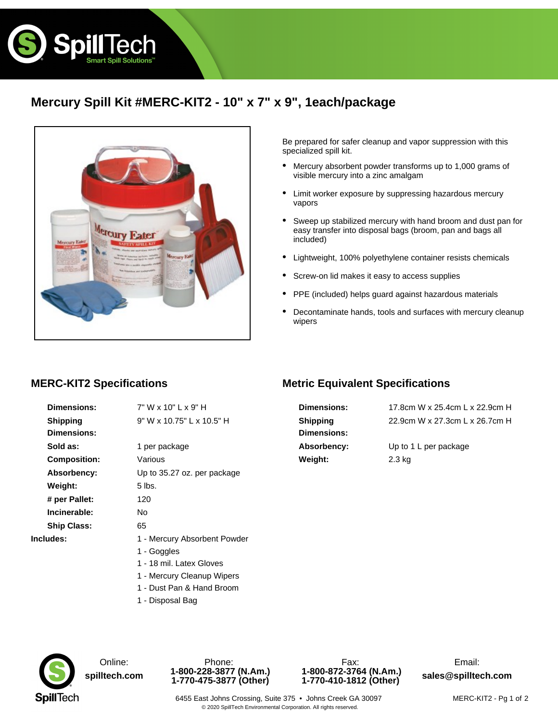



Tech

Be prepared for safer cleanup and vapor suppression with this specialized spill kit.

- Mercury absorbent powder transforms up to 1,000 grams of visible mercury into a zinc amalgam •
- Limit worker exposure by suppressing hazardous mercury vapors •
- Sweep up stabilized mercury with hand broom and dust pan for easy transfer into disposal bags (broom, pan and bags all included) •
- Lightweight, 100% polyethylene container resists chemicals
- Screw-on lid makes it easy to access supplies
- PPE (included) helps guard against hazardous materials
- Decontaminate hands, tools and surfaces with mercury cleanup wipers •

## **MERC-KIT2 Specifications**

Spill

| Dimensions:         | 7" W x 10" L x 9" H          |
|---------------------|------------------------------|
| <b>Shipping</b>     | $9"$ W x 10.75" L x 10.5" H  |
| Dimensions:         |                              |
| Sold as:            | 1 per package                |
| <b>Composition:</b> | Various                      |
| Absorbency:         | Up to 35.27 oz. per package  |
| Weight:             | $5$ lbs.                     |
| # per Pallet:       | 120                          |
| Incinerable:        | No                           |
| <b>Ship Class:</b>  | 65                           |
| Includes:           | 1 - Mercury Absorbent Powder |
|                     | 1 - Goggles                  |
|                     | 1 - 18 mil. Latex Gloves     |
|                     | 1 - Mercury Cleanup Wipers   |

## **Metric Equivalent Specifications**

| <b>Dimensions:</b> | 17.8cm W x 25.4cm L x 22.9cm H |
|--------------------|--------------------------------|
| <b>Shipping</b>    | 22.9cm W x 27.3cm L x 26.7cm H |
| <b>Dimensions:</b> |                                |
| Absorbency:        | Up to 1 L per package          |
| Weight:            | $2.3$ kg                       |



**[spilltech.com](www.spilltech.com) 1-800-228-3877 (N.Am.) 1-770-475-3877 (Other)**

1 - Dust Pan & Hand Broom

1 - Disposal Bag



6455 East Johns Crossing, Suite 375 · Johns Creek GA 30097 © 2020 SpillTech Environmental Corporation. All rights reserved.